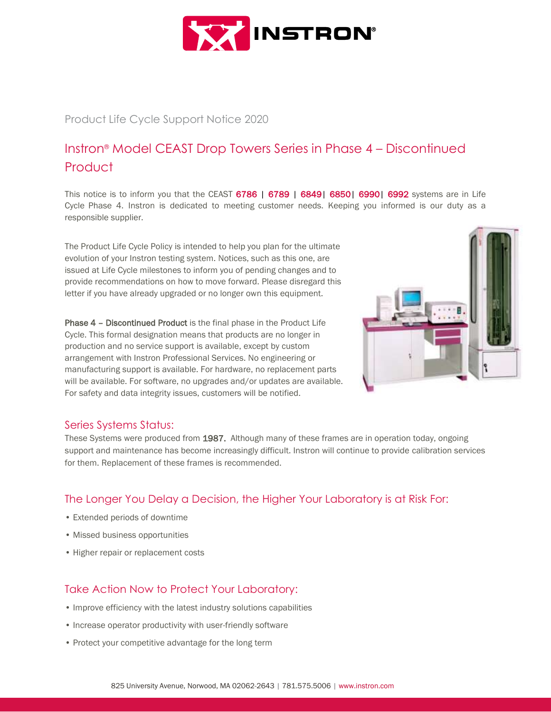

## Product Life Cycle Support Notice 2020

# Instron® Model CEAST Drop Towers Series in Phase 4 – Discontinued **Product**

This notice is to inform you that the CEAST 6786 | 6789 | 6849| 6850| 6990| 6992 systems are in Life Cycle Phase 4. Instron is dedicated to meeting customer needs. Keeping you informed is our duty as a responsible supplier.

The Product Life Cycle Policy is intended to help you plan for the ultimate evolution of your Instron testing system. Notices, such as this one, are issued at Life Cycle milestones to inform you of pending changes and to provide recommendations on how to move forward. Please disregard this letter if you have already upgraded or no longer own this equipment.

Phase 4 – Discontinued Product is the final phase in the Product Life Cycle. This formal designation means that products are no longer in production and no service support is available, except by custom arrangement with Instron Professional Services. No engineering or manufacturing support is available. For hardware, no replacement parts will be available. For software, no upgrades and/or updates are available. For safety and data integrity issues, customers will be notified.



## Series Systems Status:

These Systems were produced from 1987. Although many of these frames are in operation today, ongoing support and maintenance has become increasingly difficult. Instron will continue to provide calibration services for them. Replacement of these frames is recommended.

# The Longer You Delay a Decision, the Higher Your Laboratory is at Risk For:

- Extended periods of downtime
- Missed business opportunities
- Higher repair or replacement costs

# Take Action Now to Protect Your Laboratory:

- Improve efficiency with the latest industry solutions capabilities
- Increase operator productivity with user-friendly software
- Protect your competitive advantage for the long term